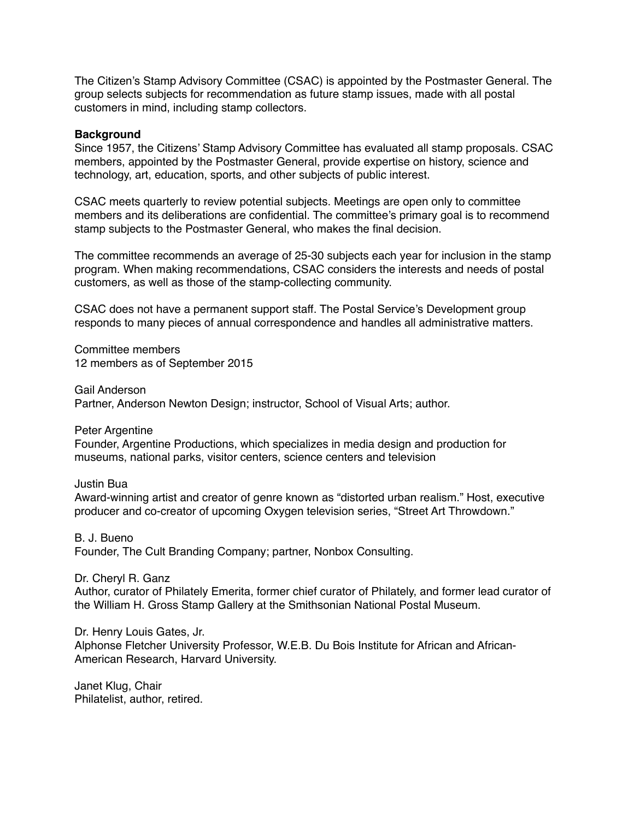The Citizen's Stamp Advisory Committee (CSAC) is appointed by the Postmaster General. The group selects subjects for recommendation as future stamp issues, made with all postal customers in mind, including stamp collectors.

## **Background**

Since 1957, the Citizens' Stamp Advisory Committee has evaluated all stamp proposals. CSAC members, appointed by the Postmaster General, provide expertise on history, science and technology, art, education, sports, and other subjects of public interest.

CSAC meets quarterly to review potential subjects. Meetings are open only to committee members and its deliberations are confidential. The committee's primary goal is to recommend stamp subjects to the Postmaster General, who makes the final decision.

The committee recommends an average of 25-30 subjects each year for inclusion in the stamp program. When making recommendations, CSAC considers the interests and needs of postal customers, as well as those of the stamp-collecting community.

CSAC does not have a permanent support staff. The Postal Service's Development group responds to many pieces of annual correspondence and handles all administrative matters.

Committee members 12 members as of September 2015

Gail Anderson Partner, Anderson Newton Design; instructor, School of Visual Arts; author.

Peter Argentine Founder, Argentine Productions, which specializes in media design and production for museums, national parks, visitor centers, science centers and television

Justin Bua

Award-winning artist and creator of genre known as "distorted urban realism." Host, executive producer and co-creator of upcoming Oxygen television series, "Street Art Throwdown."

B. J. Bueno Founder, The Cult Branding Company; partner, Nonbox Consulting.

Dr. Cheryl R. Ganz Author, curator of Philately Emerita, former chief curator of Philately, and former lead curator of the William H. Gross Stamp Gallery at the Smithsonian National Postal Museum.

Dr. Henry Louis Gates, Jr. Alphonse Fletcher University Professor, W.E.B. Du Bois Institute for African and African-American Research, Harvard University.

Janet Klug, Chair Philatelist, author, retired.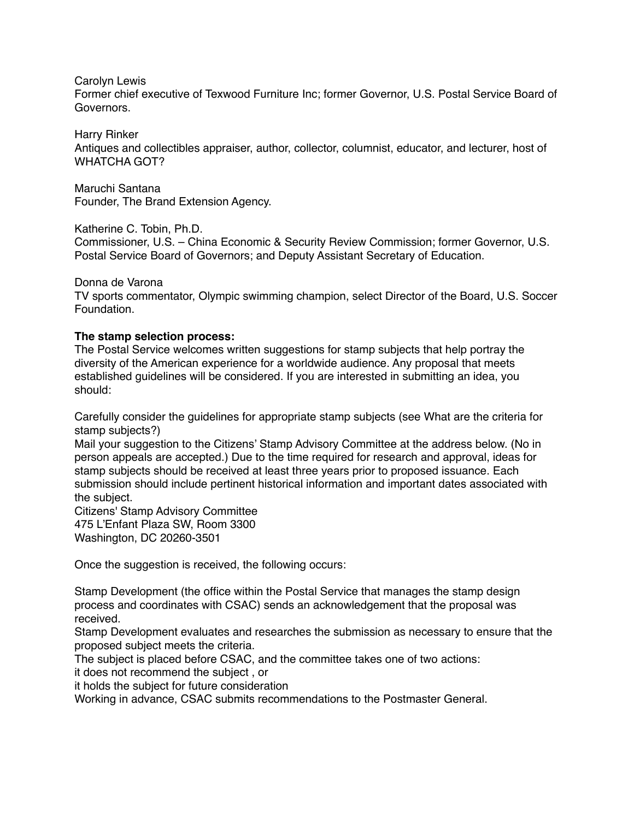Carolyn Lewis

Former chief executive of Texwood Furniture Inc; former Governor, U.S. Postal Service Board of Governors.

Harry Rinker

Antiques and collectibles appraiser, author, collector, columnist, educator, and lecturer, host of WHATCHA GOT?

Maruchi Santana Founder, The Brand Extension Agency.

Katherine C. Tobin, Ph.D.

Commissioner, U.S. – China Economic & Security Review Commission; former Governor, U.S. Postal Service Board of Governors; and Deputy Assistant Secretary of Education.

Donna de Varona

TV sports commentator, Olympic swimming champion, select Director of the Board, U.S. Soccer Foundation.

## **The stamp selection process:**

The Postal Service welcomes written suggestions for stamp subjects that help portray the diversity of the American experience for a worldwide audience. Any proposal that meets established guidelines will be considered. If you are interested in submitting an idea, you should:

Carefully consider the guidelines for appropriate stamp subjects (see What are the criteria for stamp subjects?)

Mail your suggestion to the Citizens' Stamp Advisory Committee at the address below. (No in person appeals are accepted.) Due to the time required for research and approval, ideas for stamp subjects should be received at least three years prior to proposed issuance. Each submission should include pertinent historical information and important dates associated with the subject.

Citizens' Stamp Advisory Committee 475 L'Enfant Plaza SW, Room 3300 Washington, DC 20260-3501

Once the suggestion is received, the following occurs:

Stamp Development (the office within the Postal Service that manages the stamp design process and coordinates with CSAC) sends an acknowledgement that the proposal was received.

Stamp Development evaluates and researches the submission as necessary to ensure that the proposed subject meets the criteria.

The subject is placed before CSAC, and the committee takes one of two actions:

it does not recommend the subject , or

it holds the subject for future consideration

Working in advance, CSAC submits recommendations to the Postmaster General.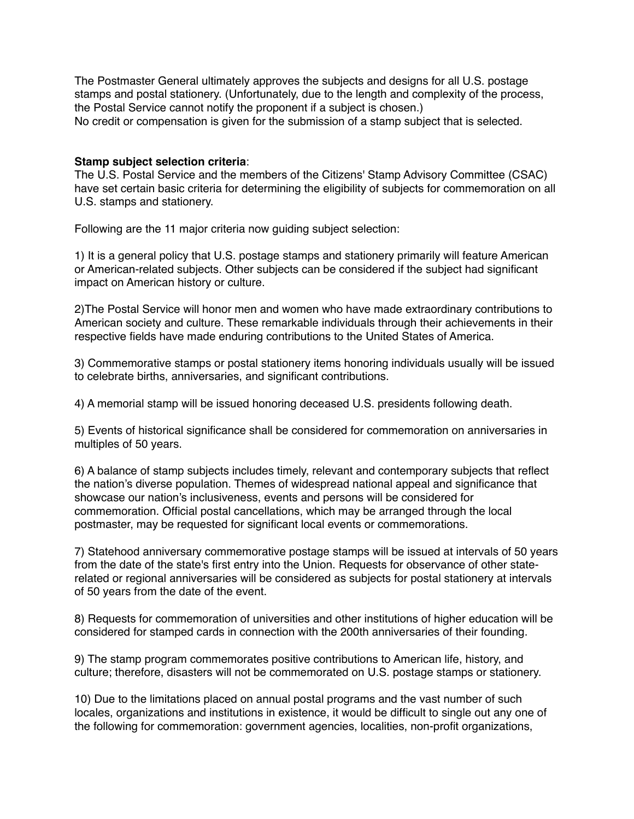The Postmaster General ultimately approves the subjects and designs for all U.S. postage stamps and postal stationery. (Unfortunately, due to the length and complexity of the process, the Postal Service cannot notify the proponent if a subject is chosen.) No credit or compensation is given for the submission of a stamp subject that is selected.

## **Stamp subject selection criteria**:

The U.S. Postal Service and the members of the Citizens' Stamp Advisory Committee (CSAC) have set certain basic criteria for determining the eligibility of subjects for commemoration on all U.S. stamps and stationery.

Following are the 11 major criteria now guiding subject selection:

1) It is a general policy that U.S. postage stamps and stationery primarily will feature American or American-related subjects. Other subjects can be considered if the subject had significant impact on American history or culture.

2)The Postal Service will honor men and women who have made extraordinary contributions to American society and culture. These remarkable individuals through their achievements in their respective fields have made enduring contributions to the United States of America.

3) Commemorative stamps or postal stationery items honoring individuals usually will be issued to celebrate births, anniversaries, and significant contributions.

4) A memorial stamp will be issued honoring deceased U.S. presidents following death.

5) Events of historical significance shall be considered for commemoration on anniversaries in multiples of 50 years.

6) A balance of stamp subjects includes timely, relevant and contemporary subjects that reflect the nation's diverse population. Themes of widespread national appeal and significance that showcase our nation's inclusiveness, events and persons will be considered for commemoration. Official postal cancellations, which may be arranged through the local postmaster, may be requested for significant local events or commemorations.

7) Statehood anniversary commemorative postage stamps will be issued at intervals of 50 years from the date of the state's first entry into the Union. Requests for observance of other staterelated or regional anniversaries will be considered as subjects for postal stationery at intervals of 50 years from the date of the event.

8) Requests for commemoration of universities and other institutions of higher education will be considered for stamped cards in connection with the 200th anniversaries of their founding.

9) The stamp program commemorates positive contributions to American life, history, and culture; therefore, disasters will not be commemorated on U.S. postage stamps or stationery.

10) Due to the limitations placed on annual postal programs and the vast number of such locales, organizations and institutions in existence, it would be difficult to single out any one of the following for commemoration: government agencies, localities, non-profit organizations,